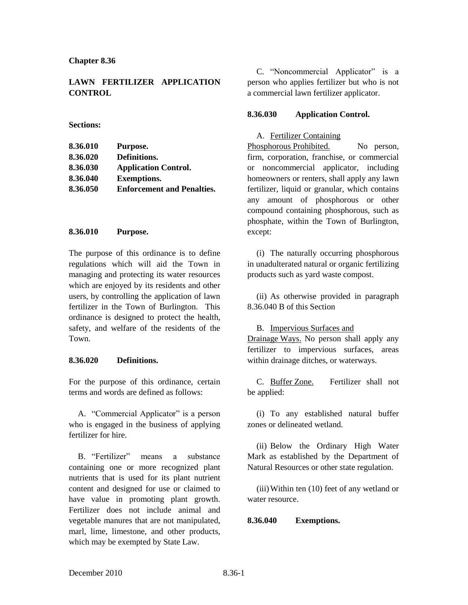**Chapter 8.36**

# **LAWN FERTILIZER APPLICATION CONTROL**

#### **Sections:**

| 8.36.010 | Purpose.                          |
|----------|-----------------------------------|
| 8.36.020 | Definitions.                      |
| 8.36.030 | <b>Application Control.</b>       |
| 8.36.040 | <b>Exemptions.</b>                |
| 8.36.050 | <b>Enforcement and Penalties.</b> |

### **8.36.010 Purpose.**

The purpose of this ordinance is to define regulations which will aid the Town in managing and protecting its water resources which are enjoyed by its residents and other users, by controlling the application of lawn fertilizer in the Town of Burlington. This ordinance is designed to protect the health, safety, and welfare of the residents of the Town.

### **8.36.020 Definitions.**

For the purpose of this ordinance, certain terms and words are defined as follows:

A. "Commercial Applicator" is a person who is engaged in the business of applying fertilizer for hire.

B. "Fertilizer" means a substance containing one or more recognized plant nutrients that is used for its plant nutrient content and designed for use or claimed to have value in promoting plant growth. Fertilizer does not include animal and vegetable manures that are not manipulated, marl, lime, limestone, and other products, which may be exempted by State Law.

C. "Noncommercial Applicator" is a person who applies fertilizer but who is not a commercial lawn fertilizer applicator.

### **8.36.030 Application Control.**

A. Fertilizer Containing

Phosphorous Prohibited. No person, firm, corporation, franchise, or commercial or noncommercial applicator, including homeowners or renters, shall apply any lawn fertilizer, liquid or granular, which contains any amount of phosphorous or other compound containing phosphorous, such as phosphate, within the Town of Burlington, except:

(i) The naturally occurring phosphorous in unadulterated natural or organic fertilizing products such as yard waste compost.

(ii) As otherwise provided in paragraph 8.36.040 B of this Section

### B. Impervious Surfaces and

Drainage Ways. No person shall apply any fertilizer to impervious surfaces, areas within drainage ditches, or waterways.

C. Buffer Zone. Fertilizer shall not be applied:

(i) To any established natural buffer zones or delineated wetland.

(ii) Below the Ordinary High Water Mark as established by the Department of Natural Resources or other state regulation.

(iii)Within ten (10) feet of any wetland or water resource.

## **8.36.040 Exemptions.**